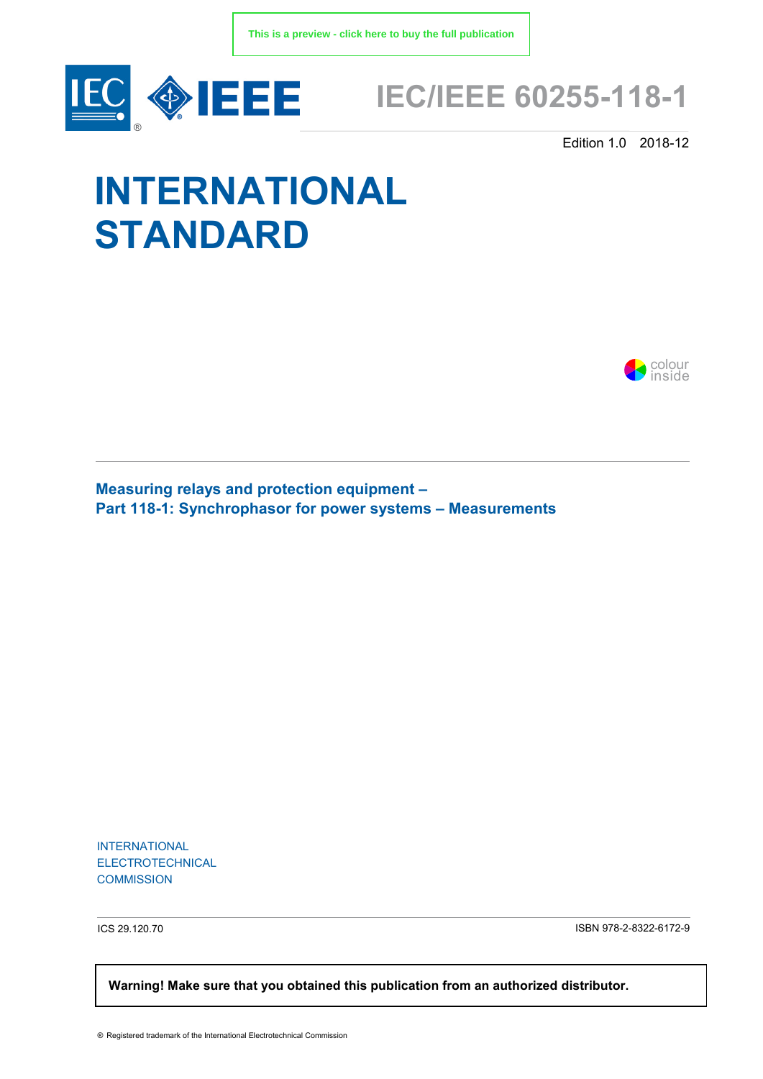

# **IEC/IEEE 60255-118-1**

Edition 1.0 2018-12

# **INTERNATIONAL STANDARD**



**Measuring relays and protection equipment – Part 118-1: Synchrophasor for power systems – Measurements** 

INTERNATIONAL ELECTROTECHNICAL **COMMISSION** 

ICS 29.120.70 ISBN 978-2-8322-6172-9

 **Warning! Make sure that you obtained this publication from an authorized distributor.**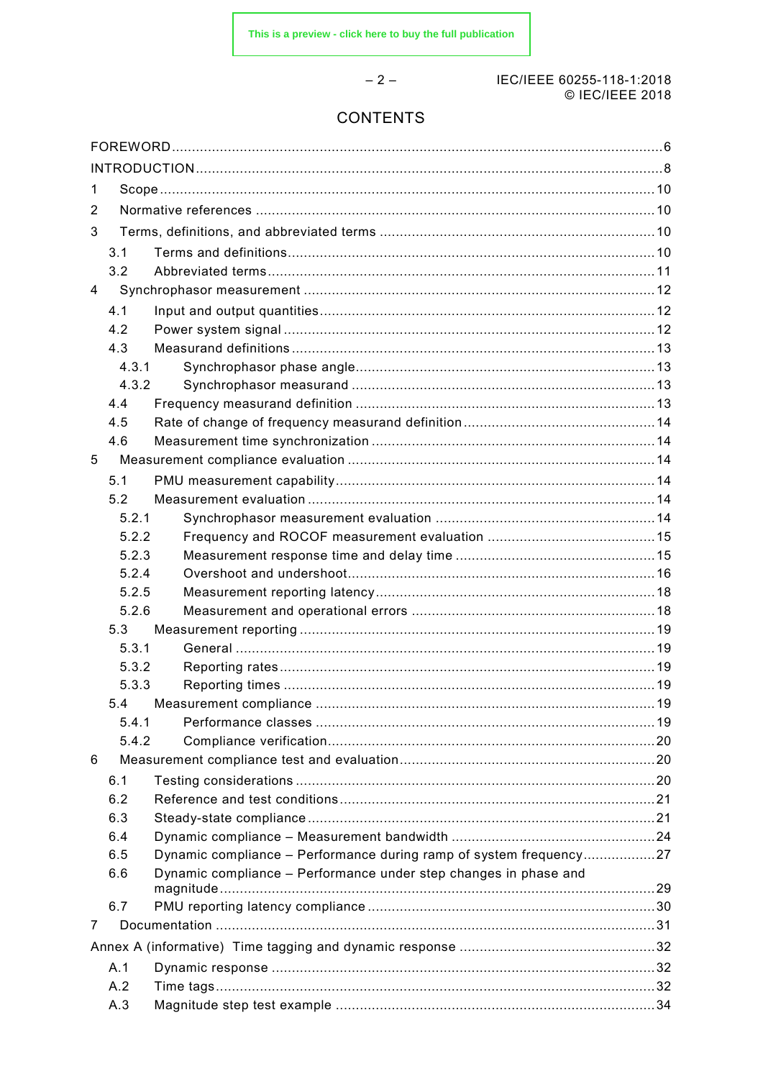#### IEC/IEEE 60255-118-1:2018 © IEC/IEEE 2018

# **CONTENTS**

 $-2-$ 

| $\mathbf 1$ |       |                                                                    |  |  |  |
|-------------|-------|--------------------------------------------------------------------|--|--|--|
| 2           |       |                                                                    |  |  |  |
| 3           |       |                                                                    |  |  |  |
|             | 3.1   |                                                                    |  |  |  |
|             | 3.2   |                                                                    |  |  |  |
| 4           |       |                                                                    |  |  |  |
|             | 4.1   |                                                                    |  |  |  |
|             | 4.2   |                                                                    |  |  |  |
|             | 4.3   |                                                                    |  |  |  |
|             | 4.3.1 |                                                                    |  |  |  |
|             | 4.3.2 |                                                                    |  |  |  |
|             | 4.4   |                                                                    |  |  |  |
|             | 4.5   |                                                                    |  |  |  |
|             | 4.6   |                                                                    |  |  |  |
| 5           |       |                                                                    |  |  |  |
|             | 5.1   |                                                                    |  |  |  |
|             | 5.2   |                                                                    |  |  |  |
|             | 5.2.1 |                                                                    |  |  |  |
|             | 5.2.2 |                                                                    |  |  |  |
|             | 5.2.3 |                                                                    |  |  |  |
|             | 5.2.4 |                                                                    |  |  |  |
|             | 5.2.5 |                                                                    |  |  |  |
|             | 5.2.6 |                                                                    |  |  |  |
|             | 5.3   |                                                                    |  |  |  |
|             | 5.3.1 |                                                                    |  |  |  |
|             | 5.3.2 |                                                                    |  |  |  |
|             | 5.3.3 |                                                                    |  |  |  |
|             | 5.4   |                                                                    |  |  |  |
|             | 5.4.1 |                                                                    |  |  |  |
|             | 5.4.2 |                                                                    |  |  |  |
| 6           |       |                                                                    |  |  |  |
|             | 6.1   |                                                                    |  |  |  |
|             | 6.2   |                                                                    |  |  |  |
|             | 6.3   |                                                                    |  |  |  |
|             | 6.4   |                                                                    |  |  |  |
|             | 6.5   | Dynamic compliance - Performance during ramp of system frequency27 |  |  |  |
|             | 6.6   | Dynamic compliance - Performance under step changes in phase and   |  |  |  |
|             |       |                                                                    |  |  |  |
|             | 6.7   |                                                                    |  |  |  |
| 7           |       |                                                                    |  |  |  |
|             |       |                                                                    |  |  |  |
|             | A.1   |                                                                    |  |  |  |
|             | A.2   |                                                                    |  |  |  |
|             | A.3   |                                                                    |  |  |  |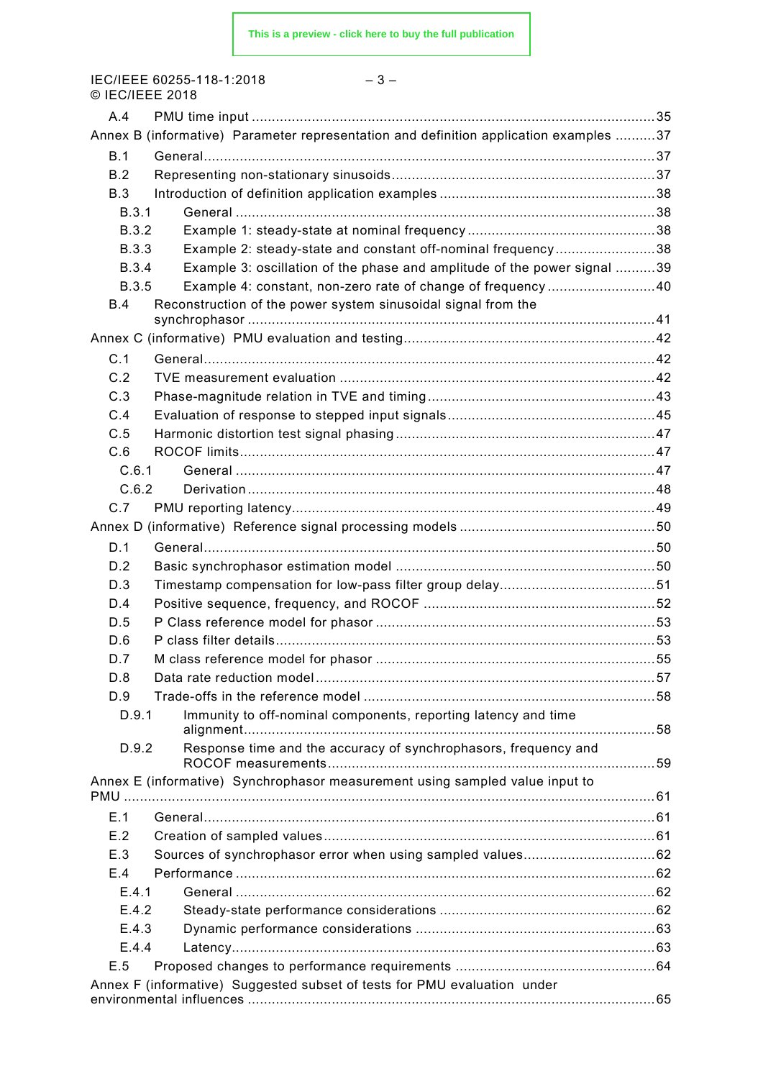IEC/IEEE 60255-118-1:2018 – 3 – © IEC/IEEE 2018

| A.4          |                                                                                       |  |
|--------------|---------------------------------------------------------------------------------------|--|
|              | Annex B (informative) Parameter representation and definition application examples 37 |  |
| B.1          |                                                                                       |  |
| B.2          |                                                                                       |  |
| B.3          |                                                                                       |  |
| B.3.1        |                                                                                       |  |
| B.3.2        |                                                                                       |  |
| <b>B.3.3</b> | Example 2: steady-state and constant off-nominal frequency38                          |  |
| <b>B.3.4</b> | Example 3: oscillation of the phase and amplitude of the power signal 39              |  |
| <b>B.3.5</b> | Example 4: constant, non-zero rate of change of frequency40                           |  |
| B.4          | Reconstruction of the power system sinusoidal signal from the                         |  |
|              |                                                                                       |  |
| C.1          |                                                                                       |  |
|              |                                                                                       |  |
| C.2          |                                                                                       |  |
| C.3          |                                                                                       |  |
| C.4          |                                                                                       |  |
| C.5          |                                                                                       |  |
| C.6          |                                                                                       |  |
| C.6.1        |                                                                                       |  |
| C.6.2        |                                                                                       |  |
| C.7          |                                                                                       |  |
|              |                                                                                       |  |
| D.1          |                                                                                       |  |
| D.2          |                                                                                       |  |
| D.3          |                                                                                       |  |
| D.4          |                                                                                       |  |
| D.5          |                                                                                       |  |
| D.6          |                                                                                       |  |
| D.7          |                                                                                       |  |
| D.8          |                                                                                       |  |
| D.9          |                                                                                       |  |
| D.9.1        | Immunity to off-nominal components, reporting latency and time                        |  |
| D.9.2        | Response time and the accuracy of synchrophasors, frequency and                       |  |
|              |                                                                                       |  |
|              | Annex E (informative) Synchrophasor measurement using sampled value input to          |  |
|              |                                                                                       |  |
| E.1          |                                                                                       |  |
| E.2          |                                                                                       |  |
| E.3          |                                                                                       |  |
| E.4          |                                                                                       |  |
| E.4.1        |                                                                                       |  |
| E.4.2        |                                                                                       |  |
| E.4.3        |                                                                                       |  |
| E.4.4        |                                                                                       |  |
| E.5          |                                                                                       |  |
|              | Annex F (informative) Suggested subset of tests for PMU evaluation under              |  |
|              |                                                                                       |  |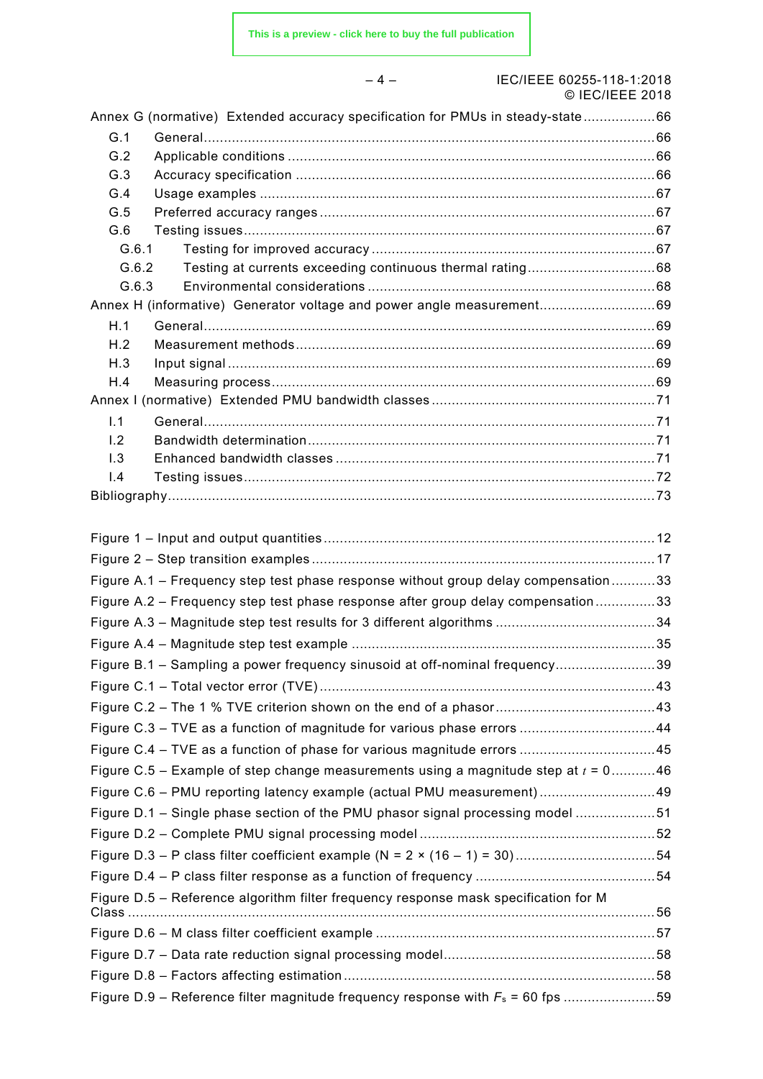|            | $-4-$<br>IEC/IEEE 60255-118-1:2018<br>© IEC/IEEE 2018                                 |  |
|------------|---------------------------------------------------------------------------------------|--|
|            | Annex G (normative) Extended accuracy specification for PMUs in steady-state66        |  |
| G.1        |                                                                                       |  |
| G.2        |                                                                                       |  |
| G.3        |                                                                                       |  |
| G.4        |                                                                                       |  |
| G.5        |                                                                                       |  |
| G.6        |                                                                                       |  |
| G.6.1      |                                                                                       |  |
| G.6.2      |                                                                                       |  |
| G.6.3      |                                                                                       |  |
|            | Annex H (informative) Generator voltage and power angle measurement69                 |  |
| H.1        |                                                                                       |  |
| H.2        |                                                                                       |  |
| H.3<br>H.4 |                                                                                       |  |
|            |                                                                                       |  |
| 1.1        |                                                                                       |  |
| 1.2        |                                                                                       |  |
| 1.3        |                                                                                       |  |
| 1.4        |                                                                                       |  |
|            |                                                                                       |  |
|            | Figure A.1 - Frequency step test phase response without group delay compensation33    |  |
|            | Figure A.2 - Frequency step test phase response after group delay compensation33      |  |
|            |                                                                                       |  |
|            |                                                                                       |  |
|            | Figure B.1 - Sampling a power frequency sinusoid at off-nominal frequency39           |  |
|            |                                                                                       |  |
|            |                                                                                       |  |
|            | Figure C.3 - TVE as a function of magnitude for various phase errors 44               |  |
|            | Figure C.4 – TVE as a function of phase for various magnitude errors 45               |  |
|            | Figure C.5 – Example of step change measurements using a magnitude step at $t = 0$ 46 |  |
|            | Figure C.6 - PMU reporting latency example (actual PMU measurement)49                 |  |
|            | Figure D.1 - Single phase section of the PMU phasor signal processing model 51        |  |
|            |                                                                                       |  |
|            |                                                                                       |  |
|            |                                                                                       |  |
|            |                                                                                       |  |
|            | Figure D.5 - Reference algorithm filter frequency response mask specification for M   |  |
|            |                                                                                       |  |
|            |                                                                                       |  |
|            |                                                                                       |  |
|            | Figure D.9 – Reference filter magnitude frequency response with $F_s$ = 60 fps 59     |  |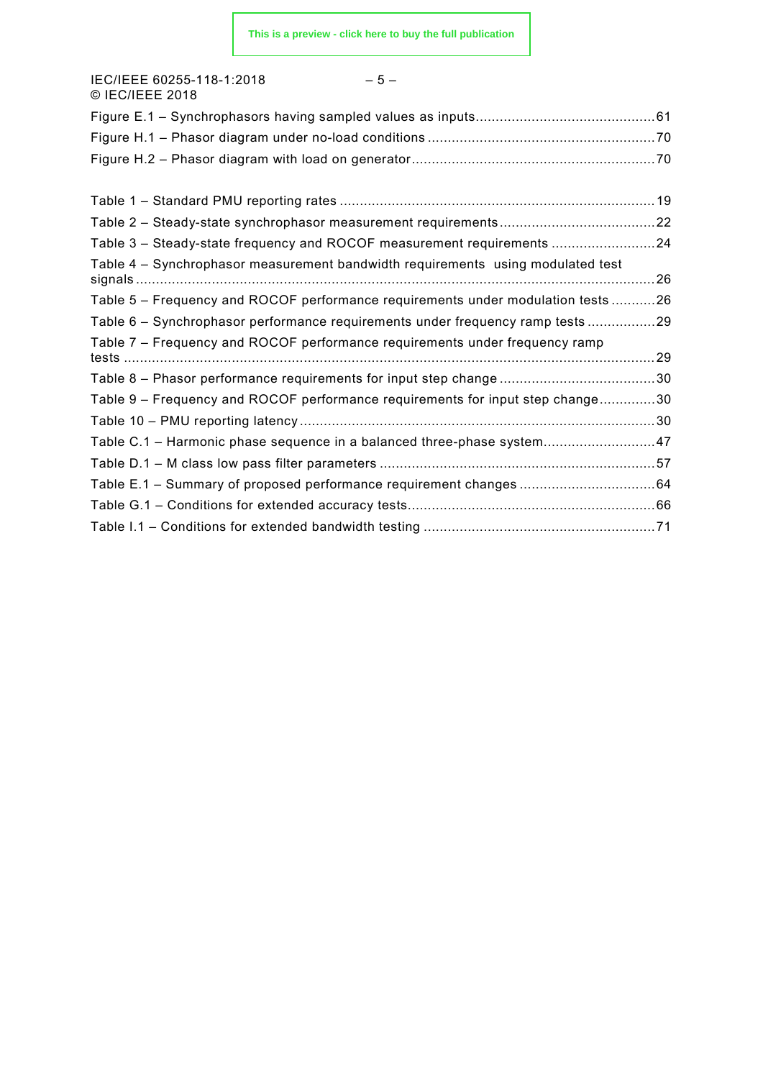| IEC/IEEE 60255-118-1:2018<br>$-5-$<br>© IEC/IEEE 2018                            |  |
|----------------------------------------------------------------------------------|--|
|                                                                                  |  |
|                                                                                  |  |
|                                                                                  |  |
|                                                                                  |  |
|                                                                                  |  |
| Table 3 - Steady-state frequency and ROCOF measurement requirements 24           |  |
| Table 4 - Synchrophasor measurement bandwidth requirements using modulated test  |  |
| Table 5 – Frequency and ROCOF performance requirements under modulation tests 26 |  |
| Table 6 - Synchrophasor performance requirements under frequency ramp tests 29   |  |
| Table 7 - Frequency and ROCOF performance requirements under frequency ramp      |  |
|                                                                                  |  |
| Table 9 - Frequency and ROCOF performance requirements for input step change30   |  |
|                                                                                  |  |
| Table C.1 - Harmonic phase sequence in a balanced three-phase system47           |  |
|                                                                                  |  |
| Table E.1 - Summary of proposed performance requirement changes 64               |  |
|                                                                                  |  |
|                                                                                  |  |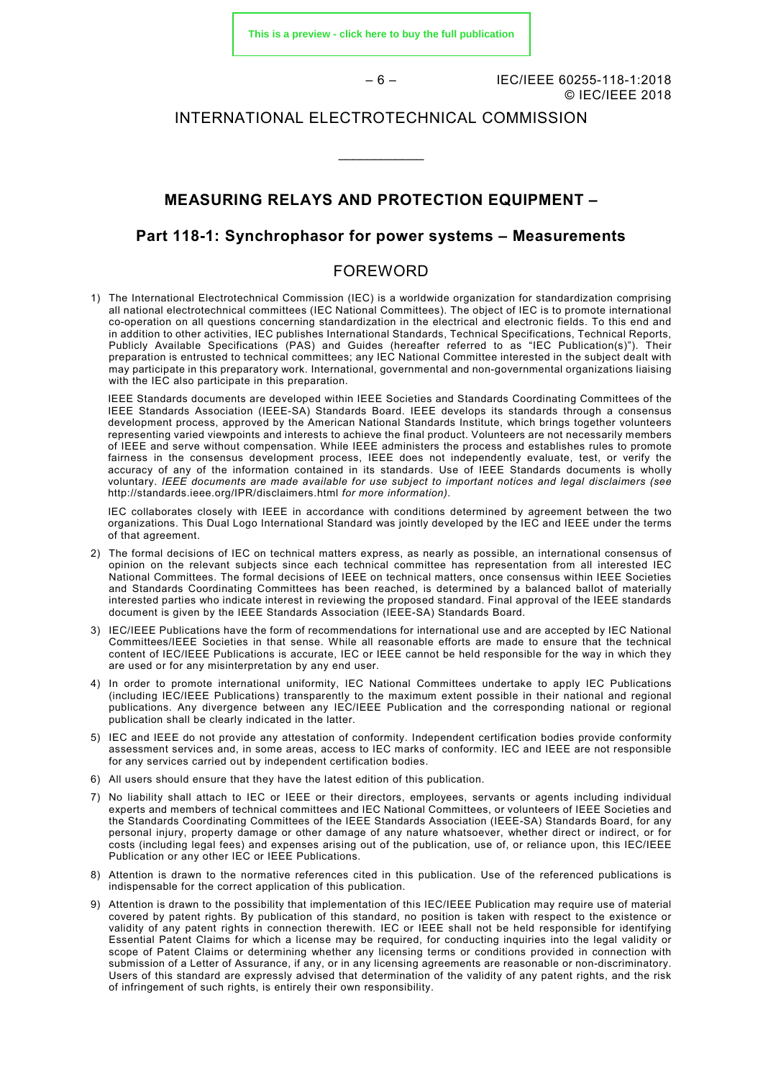**[This is a preview - click here to buy the full publication](https://webstore.iec.ch/publication/28722&preview)**

– 6 – IEC/IEEE 60255-118-1:2018 © IEC/IEEE 2018

#### INTERNATIONAL ELECTROTECHNICAL COMMISSION

\_\_\_\_\_\_\_\_\_\_\_\_

#### **MEASURING RELAYS AND PROTECTION EQUIPMENT –**

#### **Part 118-1: Synchrophasor for power systems – Measurements**

#### FOREWORD

<span id="page-5-0"></span>1) The International Electrotechnical Commission (IEC) is a worldwide organization for standardization comprising all national electrotechnical committees (IEC National Committees). The object of IEC is to promote international co-operation on all questions concerning standardization in the electrical and electronic fields. To this end and in addition to other activities, IEC publishes International Standards, Technical Specifications, Technical Reports, Publicly Available Specifications (PAS) and Guides (hereafter referred to as "IEC Publication(s)"). Their preparation is entrusted to technical committees; any IEC National Committee interested in the subject dealt with may participate in this preparatory work. International, governmental and non-governmental organizations liaising with the IEC also participate in this preparation.

IEEE Standards documents are developed within IEEE Societies and Standards Coordinating Committees of the IEEE Standards Association (IEEE-SA) Standards Board. IEEE develops its standards through a consensus development process, approved by the American National Standards Institute, which brings together volunteers representing varied viewpoints and interests to achieve the final product. Volunteers are not necessarily members of IEEE and serve without compensation. While IEEE administers the process and establishes rules to promote fairness in the consensus development process, IEEE does not independently evaluate, test, or verify the accuracy of any of the information contained in its standards. Use of IEEE Standards documents is wholly voluntary. *IEEE documents are made available for use subject to important notices and legal disclaimers (see*  <http://standards.ieee.org/IPR/disclaimers.html> *for more information).*

IEC collaborates closely with IEEE in accordance with conditions determined by agreement between the two organizations. This Dual Logo International Standard was jointly developed by the IEC and IEEE under the terms of that agreement.

- 2) The formal decisions of IEC on technical matters express, as nearly as possible, an international consensus of opinion on the relevant subjects since each technical committee has representation from all interested IEC National Committees. The formal decisions of IEEE on technical matters, once consensus within IEEE Societies and Standards Coordinating Committees has been reached, is determined by a balanced ballot of materially interested parties who indicate interest in reviewing the proposed standard. Final approval of the IEEE standards document is given by the IEEE Standards Association (IEEE-SA) Standards Board.
- 3) IEC/IEEE Publications have the form of recommendations for international use and are accepted by IEC National Committees/IEEE Societies in that sense. While all reasonable efforts are made to ensure that the technical content of IEC/IEEE Publications is accurate, IEC or IEEE cannot be held responsible for the way in which they are used or for any misinterpretation by any end user.
- 4) In order to promote international uniformity, IEC National Committees undertake to apply IEC Publications (including IEC/IEEE Publications) transparently to the maximum extent possible in their national and regional publications. Any divergence between any IEC/IEEE Publication and the corresponding national or regional publication shall be clearly indicated in the latter.
- 5) IEC and IEEE do not provide any attestation of conformity. Independent certification bodies provide conformity assessment services and, in some areas, access to IEC marks of conformity. IEC and IEEE are not responsible for any services carried out by independent certification bodies.
- 6) All users should ensure that they have the latest edition of this publication.
- 7) No liability shall attach to IEC or IEEE or their directors, employees, servants or agents including individual experts and members of technical committees and IEC National Committees, or volunteers of IEEE Societies and the Standards Coordinating Committees of the IEEE Standards Association (IEEE-SA) Standards Board, for any personal injury, property damage or other damage of any nature whatsoever, whether direct or indirect, or for costs (including legal fees) and expenses arising out of the publication, use of, or reliance upon, this IEC/IEEE Publication or any other IEC or IEEE Publications.
- 8) Attention is drawn to the normative references cited in this publication. Use of the referenced publications is indispensable for the correct application of this publication.
- 9) Attention is drawn to the possibility that implementation of this IEC/IEEE Publication may require use of material covered by patent rights. By publication of this standard, no position is taken with respect to the existence or validity of any patent rights in connection therewith. IEC or IEEE shall not be held responsible for identifying Essential Patent Claims for which a license may be required, for conducting inquiries into the legal validity or scope of Patent Claims or determining whether any licensing terms or conditions provided in connection with submission of a Letter of Assurance, if any, or in any licensing agreements are reasonable or non-discriminatory. Users of this standard are expressly advised that determination of the validity of any patent rights, and the risk of infringement of such rights, is entirely their own responsibility.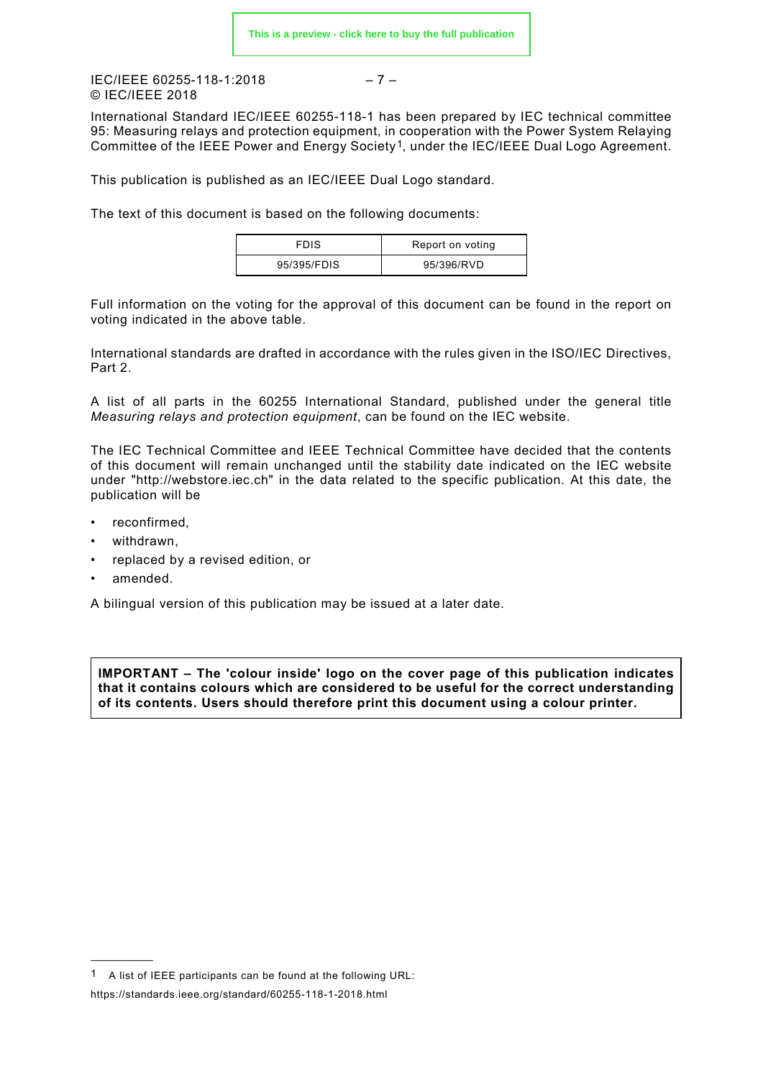IEC/IEEE 60255-118-1:2018 – 7 – © IEC/IEEE 2018

International Standard IEC/IEEE 60255-118-1 has been prepared by IEC technical committee 95: Measuring relays and protection equipment, in cooperation with the Power System Relaying Committee of the IEEE Power and Energy Society[1](#page-6-0), under the IEC/IEEE Dual Logo Agreement.

This publication is published as an IEC/IEEE Dual Logo standard.

The text of this document is based on the following documents:

| <b>FDIS</b> | Report on voting |
|-------------|------------------|
| 95/395/FDIS | 95/396/RVD       |

Full information on the voting for the approval of this document can be found in the report on voting indicated in the above table.

International standards are drafted in accordance with the rules given in the ISO/IEC Directives, Part 2.

A list of all parts in the 60255 International Standard, published under the general title *Measuring relays and protection equipment*, can be found on the IEC website.

The IEC Technical Committee and IEEE Technical Committee have decided that the contents of this document will remain unchanged until the stability date indicated on the IEC website under "http://webstore.iec.ch" in the data related to the specific publication. At this date, the publication will be

- reconfirmed.
- withdrawn,
- replaced by a revised edition, or
- amended.

 $\overline{\phantom{a}}$ 

A bilingual version of this publication may be issued at a later date.

**IMPORTANT – The 'colour inside' logo on the cover page of this publication indicates that it contains colours which are considered to be useful for the correct understanding of its contents. Users should therefore print this document using a colour printer.**

<span id="page-6-0"></span><sup>1</sup> A list of IEEE participants can be found at the following URL: https://standards.ieee.org/standard/60255-118-1-2018.html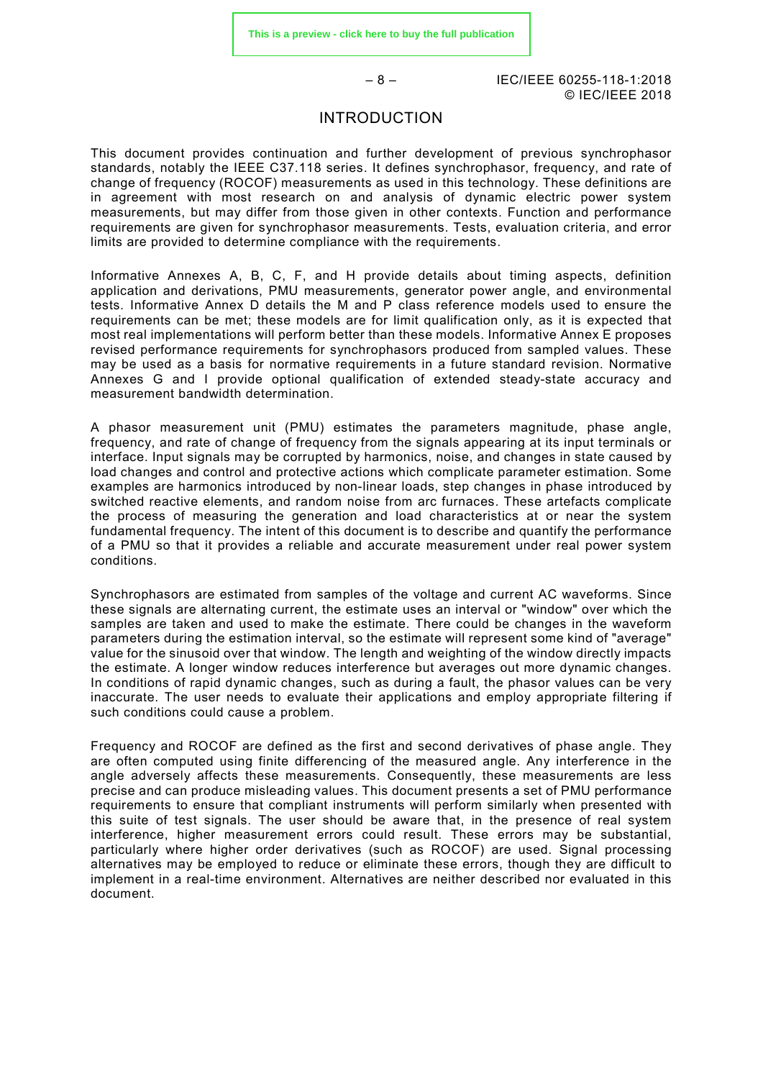– 8 – IEC/IEEE 60255-118-1:2018 © IEC/IEEE 2018

#### INTRODUCTION

<span id="page-7-0"></span>This document provides continuation and further development of previous synchrophasor standards, notably the IEEE C37.118 series. It defines synchrophasor, frequency, and rate of change of frequency (ROCOF) measurements as used in this technology. These definitions are in agreement with most research on and analysis of dynamic electric power system measurements, but may differ from those given in other contexts. Function and performance requirements are given for synchrophasor measurements. Tests, evaluation criteria, and error limits are provided to determine compliance with the requirements.

Informative Annexes A, B, C, F, and H provide details about timing aspects, definition application and derivations, PMU measurements, generator power angle, and environmental tests. Informative Annex D details the M and P class reference models used to ensure the requirements can be met; these models are for limit qualification only, as it is expected that most real implementations will perform better than these models. Informative Annex E proposes revised performance requirements for synchrophasors produced from sampled values. These may be used as a basis for normative requirements in a future standard revision. Normative Annexes G and I provide optional qualification of extended steady-state accuracy and measurement bandwidth determination.

A phasor measurement unit (PMU) estimates the parameters magnitude, phase angle, frequency, and rate of change of frequency from the signals appearing at its input terminals or interface. Input signals may be corrupted by harmonics, noise, and changes in state caused by load changes and control and protective actions which complicate parameter estimation. Some examples are harmonics introduced by non-linear loads, step changes in phase introduced by switched reactive elements, and random noise from arc furnaces. These artefacts complicate the process of measuring the generation and load characteristics at or near the system fundamental frequency. The intent of this document is to describe and quantify the performance of a PMU so that it provides a reliable and accurate measurement under real power system conditions.

Synchrophasors are estimated from samples of the voltage and current AC waveforms. Since these signals are alternating current, the estimate uses an interval or "window" over which the samples are taken and used to make the estimate. There could be changes in the waveform parameters during the estimation interval, so the estimate will represent some kind of "average" value for the sinusoid over that window. The length and weighting of the window directly impacts the estimate. A longer window reduces interference but averages out more dynamic changes. In conditions of rapid dynamic changes, such as during a fault, the phasor values can be very inaccurate. The user needs to evaluate their applications and employ appropriate filtering if such conditions could cause a problem.

Frequency and ROCOF are defined as the first and second derivatives of phase angle. They are often computed using finite differencing of the measured angle. Any interference in the angle adversely affects these measurements. Consequently, these measurements are less precise and can produce misleading values. This document presents a set of PMU performance requirements to ensure that compliant instruments will perform similarly when presented with this suite of test signals. The user should be aware that, in the presence of real system interference, higher measurement errors could result. These errors may be substantial, particularly where higher order derivatives (such as ROCOF) are used. Signal processing alternatives may be employed to reduce or eliminate these errors, though they are difficult to implement in a real-time environment. Alternatives are neither described nor evaluated in this document.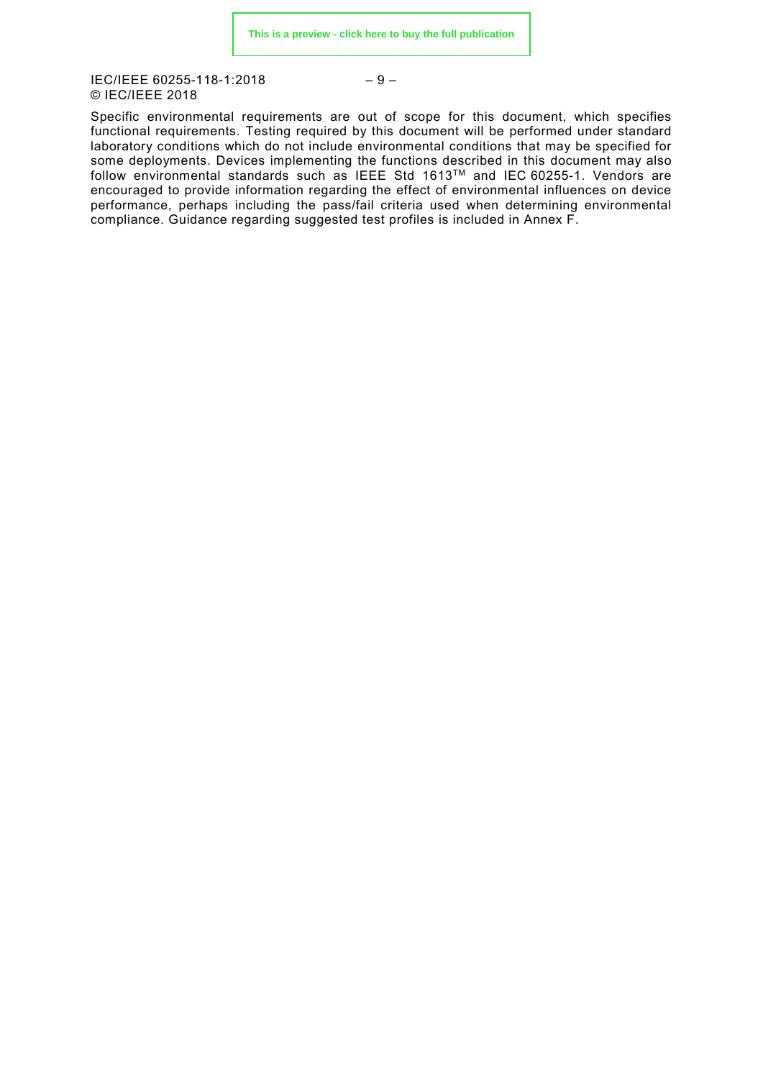IEC/IEEE 60255-118-1:2018 © IEC/IEEE 2018

$$
-9-
$$

Specific environmental requirements are out of scope for this document, which specifies functional requirements. Testing required by this document will be performed under standard laboratory conditions which do not include environmental conditions that may be specified for some deployments. Devices implementing the functions described in this document may also follow environmental standards such as IEEE Std 1613TM and IEC 60255-1. Vendors are encouraged to provide information regarding the effect of environmental influences on device performance, perhaps including the pass/fail criteria used when determining environmental compliance. Guidance regarding suggested test profiles is included in Annex F.